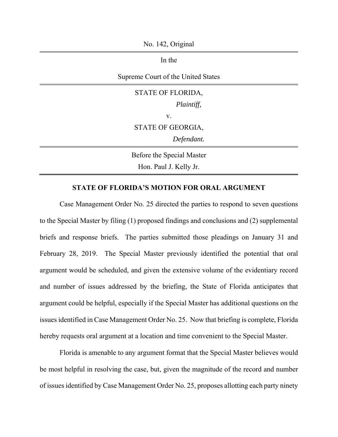No. 142, Original

In the

Supreme Court of the United States

## STATE OF FLORIDA, *Plaintiff,* v. STATE OF GEORGIA, *Defendant.* Before the Special Master Hon. Paul J. Kelly Jr.

## **STATE OF FLORIDA'S MOTION FOR ORAL ARGUMENT**

Case Management Order No. 25 directed the parties to respond to seven questions to the Special Master by filing (1) proposed findings and conclusions and (2) supplemental briefs and response briefs. The parties submitted those pleadings on January 31 and February 28, 2019. The Special Master previously identified the potential that oral argument would be scheduled, and given the extensive volume of the evidentiary record and number of issues addressed by the briefing, the State of Florida anticipates that argument could be helpful, especially if the Special Master has additional questions on the issues identified in Case Management Order No. 25. Now that briefing is complete, Florida hereby requests oral argument at a location and time convenient to the Special Master.

Florida is amenable to any argument format that the Special Master believes would be most helpful in resolving the case, but, given the magnitude of the record and number of issues identified by Case Management Order No. 25, proposes allotting each party ninety